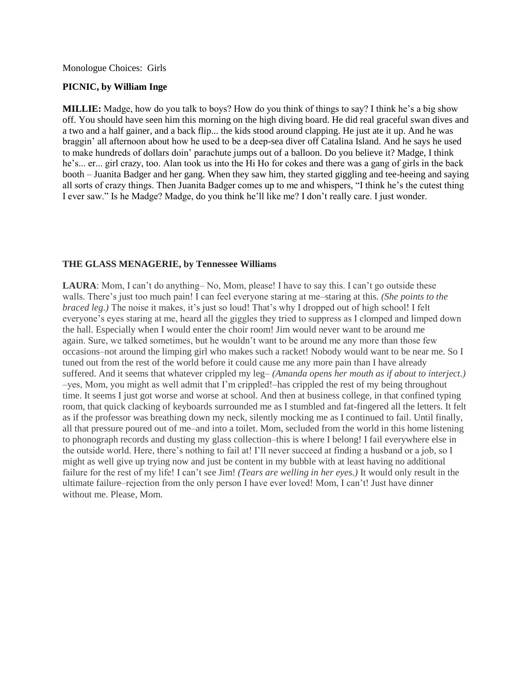## Monologue Choices: Girls

## **PICNIC, by William Inge**

**MILLIE:** Madge, how do you talk to boys? How do you think of things to say? I think he's a big show off. You should have seen him this morning on the high diving board. He did real graceful swan dives and a two and a half gainer, and a back flip... the kids stood around clapping. He just ate it up. And he was braggin' all afternoon about how he used to be a deep-sea diver off Catalina Island. And he says he used to make hundreds of dollars doin' parachute jumps out of a balloon. Do you believe it? Madge, I think he's... er... girl crazy, too. Alan took us into the Hi Ho for cokes and there was a gang of girls in the back booth – Juanita Badger and her gang. When they saw him, they started giggling and tee-heeing and saying all sorts of crazy things. Then Juanita Badger comes up to me and whispers, "I think he's the cutest thing I ever saw." Is he Madge? Madge, do you think he'll like me? I don't really care. I just wonder.

## **THE GLASS MENAGERIE, by Tennessee Williams**

LAURA: Mom, I can't do anything– No, Mom, please! I have to say this. I can't go outside these walls. There's just too much pain! I can feel everyone staring at me–staring at this. *(She points to the braced leg.)* The noise it makes, it's just so loud! That's why I dropped out of high school! I felt everyone's eyes staring at me, heard all the giggles they tried to suppress as I clomped and limped down the hall. Especially when I would enter the choir room! Jim would never want to be around me again. Sure, we talked sometimes, but he wouldn't want to be around me any more than those few occasions–not around the limping girl who makes such a racket! Nobody would want to be near me. So I tuned out from the rest of the world before it could cause me any more pain than I have already suffered. And it seems that whatever crippled my leg– *(Amanda opens her mouth as if about to interject.)* –yes, Mom, you might as well admit that I'm crippled!–has crippled the rest of my being throughout time. It seems I just got worse and worse at school. And then at business college, in that confined typing room, that quick clacking of keyboards surrounded me as I stumbled and fat-fingered all the letters. It felt as if the professor was breathing down my neck, silently mocking me as I continued to fail. Until finally, all that pressure poured out of me–and into a toilet. Mom, secluded from the world in this home listening to phonograph records and dusting my glass collection–this is where I belong! I fail everywhere else in the outside world. Here, there's nothing to fail at! I'll never succeed at finding a husband or a job, so I might as well give up trying now and just be content in my bubble with at least having no additional failure for the rest of my life! I can't see Jim! *(Tears are welling in her eyes.)* It would only result in the ultimate failure–rejection from the only person I have ever loved! Mom, I can't! Just have dinner without me. Please, Mom.